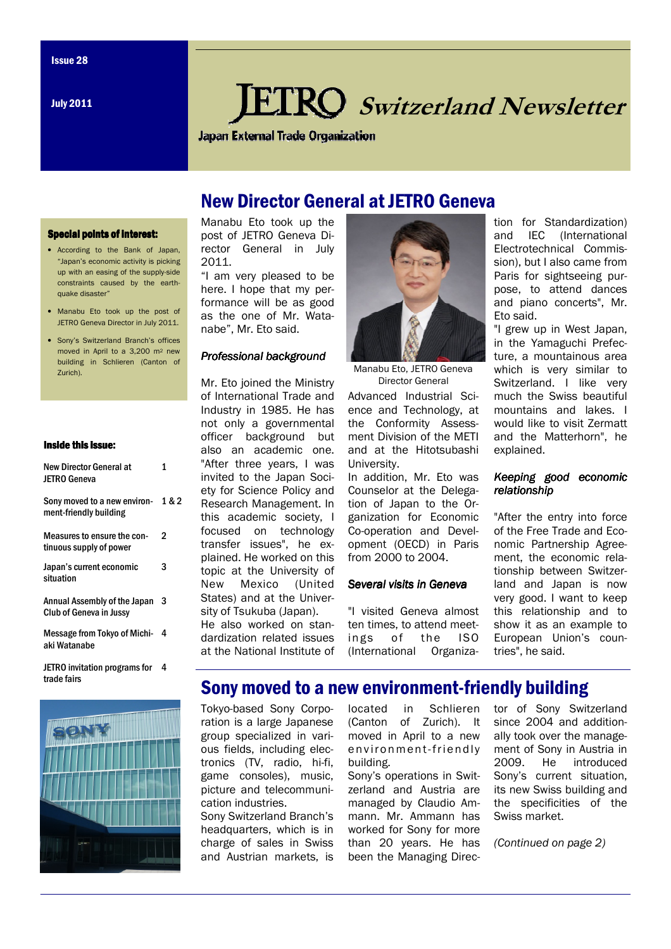July 2011

# **IRO** Switzerland Newsletter

**Japan External Trade Organization** 

## New Director General at JETRO Geneva

#### Special points of interest:

- According to the Bank of Japan, "Japan's economic activity is picking up with an easing of the supply-side constraints caused by the earthquake disaster"
- Manabu Eto took up the post of JETRO Geneva Director in July 2011.
- Sony's Switzerland Branch's offices moved in April to a 3,200 m2 new building in Schlieren (Canton of Zurich).

#### Inside this issue:

| New Director General at<br><b>JETRO Geneva</b>                 | 1     |
|----------------------------------------------------------------|-------|
| Sony moved to a new environ-<br>ment-friendly building         | 1 & 2 |
| Measures to ensure the con-<br>tinuous supply of power         | 2     |
| Japan's current economic<br>situation                          | 3     |
| Annual Assembly of the Japan<br><b>Club of Geneva in Jussy</b> | 3     |
| Message from Tokyo of Michi-<br>aki Watanabe                   | 4     |
| JETRO invitation programs for<br>trade fairs                   | 4     |



Manabu Eto took up the post of JETRO Geneva Director General in July 2011.

"I am very pleased to be here. I hope that my performance will be as good as the one of Mr. Watanabe", Mr. Eto said.

### Professional background

Mr. Eto joined the Ministry of International Trade and Industry in 1985. He has not only a governmental officer background but also an academic one. "After three years, I was invited to the Japan Society for Science Policy and Research Management. In this academic society, I focused on technology transfer issues", he explained. He worked on this topic at the University of New Mexico (United States) and at the University of Tsukuba (Japan). He also worked on standardization related issues at the National Institute of



Manabu Eto, JETRO Geneva Director General

Advanced Industrial Science and Technology, at the Conformity Assessment Division of the METI and at the Hitotsubashi University.

In addition, Mr. Eto was Counselor at the Delegation of Japan to the Organization for Economic Co-operation and Development (OECD) in Paris from 2000 to 2004.

### Several visits in Geneva

"I visited Geneva almost ten times, to attend meetings of the ISO (International Organization for Standardization) and IEC (International Electrotechnical Commission), but I also came from Paris for sightseeing purpose, to attend dances and piano concerts", Mr. Eto said.

"I grew up in West Japan, in the Yamaguchi Prefecture, a mountainous area which is very similar to Switzerland. I like very much the Swiss beautiful mountains and lakes. I would like to visit Zermatt and the Matterhorn", he explained.

### Keeping good economic relationship

"After the entry into force of the Free Trade and Economic Partnership Agreement, the economic relationship between Switzerland and Japan is now very good. I want to keep this relationship and to show it as an example to European Union's countries", he said.

### Sony moved to a new environment-friendly building

Tokyo-based Sony Corporation is a large Japanese group specialized in various fields, including electronics (TV, radio, hi-fi, game consoles), music, picture and telecommunication industries.

Sony Switzerland Branch's headquarters, which is in charge of sales in Swiss and Austrian markets, is

located in Schlieren (Canton of Zurich). It moved in April to a new environment-friendly building.

Sony's operations in Switzerland and Austria are managed by Claudio Ammann. Mr. Ammann has worked for Sony for more than 20 years. He has been the Managing Director of Sony Switzerland since 2004 and additionally took over the management of Sony in Austria in 2009. He introduced Sony's current situation, its new Swiss building and the specificities of the Swiss market.

(Continued on page 2)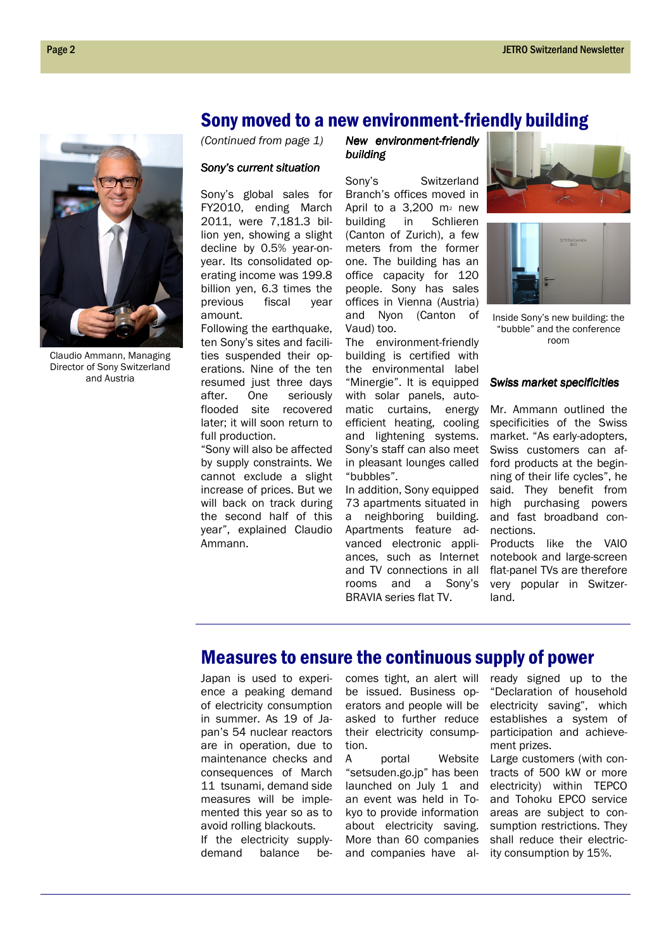### Sony moved to a new environment-friendly building

(Continued from page 1)

#### Sony's current situation

Sony's global sales for FY2010, ending March 2011, were 7,181.3 billion yen, showing a slight decline by 0.5% year-onyear. Its consolidated operating income was 199.8 billion yen, 6.3 times the previous fiscal year amount.

Following the earthquake, ten Sony's sites and facilities suspended their operations. Nine of the ten resumed just three days after. One seriously flooded site recovered later; it will soon return to full production.

"Sony will also be affected by supply constraints. We cannot exclude a slight increase of prices. But we will back on track during the second half of this year", explained Claudio Ammann.

New environment-friendly building building

Sony's Switzerland Branch's offices moved in April to a  $3.200$  m<sup>2</sup> new building in Schlieren (Canton of Zurich), a few meters from the former one. The building has an office capacity for 120 people. Sony has sales offices in Vienna (Austria) and Nyon (Canton of Vaud) too.

The environment-friendly building is certified with the environmental label "Minergie". It is equipped with solar panels, automatic curtains, energy efficient heating, cooling and lightening systems. Sony's staff can also meet in pleasant lounges called "bubbles".

In addition, Sony equipped 73 apartments situated in a neighboring building. Apartments feature advanced electronic appliances, such as Internet and TV connections in all rooms and a Sony's BRAVIA series flat TV.





Inside Sony's new building: the "bubble" and the conference room

#### Swiss market specificities

Mr. Ammann outlined the specificities of the Swiss market. "As early-adopters, Swiss customers can afford products at the beginning of their life cycles", he said. They benefit from high purchasing powers and fast broadband connections. Products like the VAIO

notebook and large-screen flat-panel TVs are therefore very popular in Switzerland.

### Measures to ensure the continuous supply of power

Japan is used to experience a peaking demand of electricity consumption in summer. As 19 of Japan's 54 nuclear reactors are in operation, due to maintenance checks and consequences of March 11 tsunami, demand side measures will be implemented this year so as to avoid rolling blackouts.

If the electricity supplydemand balance becomes tight, an alert will be issued. Business operators and people will be asked to further reduce their electricity consumption.

A portal Website "setsuden.go.jp" has been launched on July 1 and an event was held in Tokyo to provide information about electricity saving. More than 60 companies and companies have already signed up to the "Declaration of household electricity saving", which establishes a system of participation and achievement prizes.

Large customers (with contracts of 500 kW or more electricity) within TEPCO and Tohoku EPCO service areas are subject to consumption restrictions. They shall reduce their electricity consumption by 15%.



Claudio Ammann, Managing Director of Sony Switzerland and Austria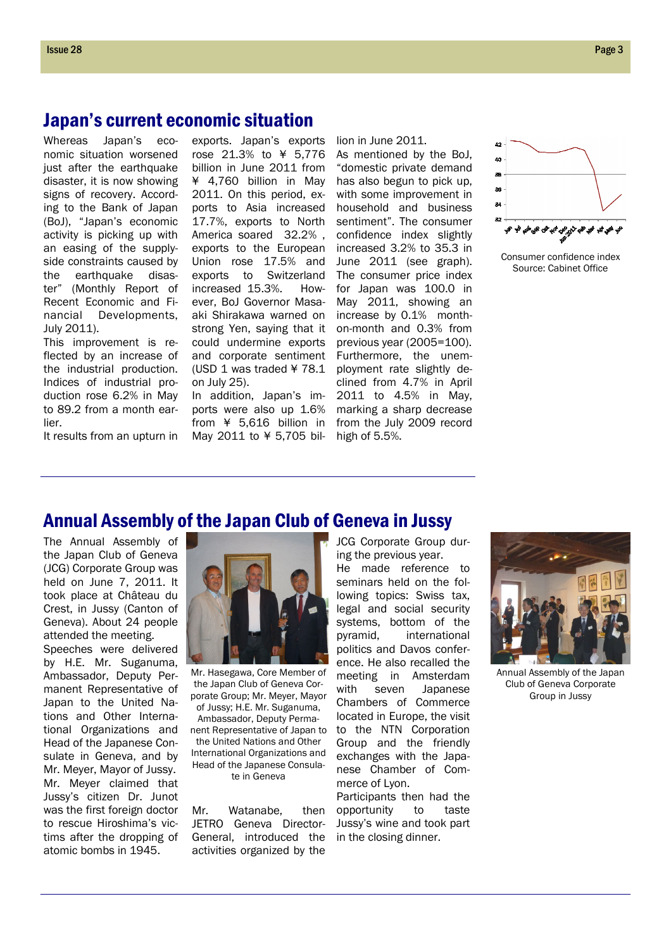### Japan's current economic situation

Whereas Japan's economic situation worsened just after the earthquake disaster, it is now showing signs of recovery. According to the Bank of Japan (BoJ), "Japan's economic activity is picking up with an easing of the supplyside constraints caused by the earthquake disaster" (Monthly Report of Recent Economic and Financial Developments, July 2011).

This improvement is reflected by an increase of the industrial production. Indices of industrial production rose 6.2% in May to 89.2 from a month earlier.

It results from an upturn in

exports. Japan's exports rose 21.3% to ¥ 5,776 billion in June 2011 from ¥ 4,760 billion in May 2011. On this period, exports to Asia increased 17.7%, exports to North America soared 32.2% , exports to the European Union rose 17.5% and exports to Switzerland increased 15.3%. However, BoJ Governor Masaaki Shirakawa warned on strong Yen, saying that it could undermine exports and corporate sentiment (USD 1 was traded ¥ 78.1 on July 25).

In addition, Japan's imports were also up 1.6% from ¥ 5,616 billion in May 2011 to ¥ 5,705 billion in June 2011. As mentioned by the BoJ, "domestic private demand has also begun to pick up, with some improvement in household and business sentiment". The consumer confidence index slightly increased 3.2% to 35.3 in June 2011 (see graph). The consumer price index for Japan was 100.0 in May 2011, showing an increase by 0.1% monthon-month and 0.3% from previous year (2005=100). Furthermore, the unemployment rate slightly declined from 4.7% in April 2011 to 4.5% in May, marking a sharp decrease from the July 2009 record high of 5.5%.



Consumer confidence index Source: Cabinet Office

### Annual Assembly of the Japan Club of Geneva in Jussy

The Annual Assembly of the Japan Club of Geneva (JCG) Corporate Group was held on June 7, 2011. It took place at Château du Crest, in Jussy (Canton of Geneva). About 24 people attended the meeting. Speeches were delivered by H.E. Mr. Suganuma, Ambassador, Deputy Permanent Representative of Japan to the United Nations and Other International Organizations and Head of the Japanese Consulate in Geneva, and by Mr. Meyer, Mayor of Jussy. Mr. Meyer claimed that Jussy's citizen Dr. Junot was the first foreign doctor to rescue Hiroshima's victims after the dropping of atomic bombs in 1945.



Mr. Hasegawa, Core Member of the Japan Club of Geneva Corporate Group; Mr. Meyer, Mayor of Jussy; H.E. Mr. Suganuma,

Ambassador, Deputy Permanent Representative of Japan to the United Nations and Other International Organizations and Head of the Japanese Consulate in Geneva

Mr. Watanabe, then JETRO Geneva Director-General, introduced the activities organized by the

JCG Corporate Group during the previous year.

He made reference to seminars held on the following topics: Swiss tax, legal and social security systems, bottom of the pyramid, international politics and Davos conference. He also recalled the meeting in Amsterdam with seven Japanese Chambers of Commerce located in Europe, the visit to the NTN Corporation Group and the friendly exchanges with the Japanese Chamber of Commerce of Lyon.

Participants then had the opportunity to taste Jussy's wine and took part in the closing dinner.



Annual Assembly of the Japan Club of Geneva Corporate Group in Jussy